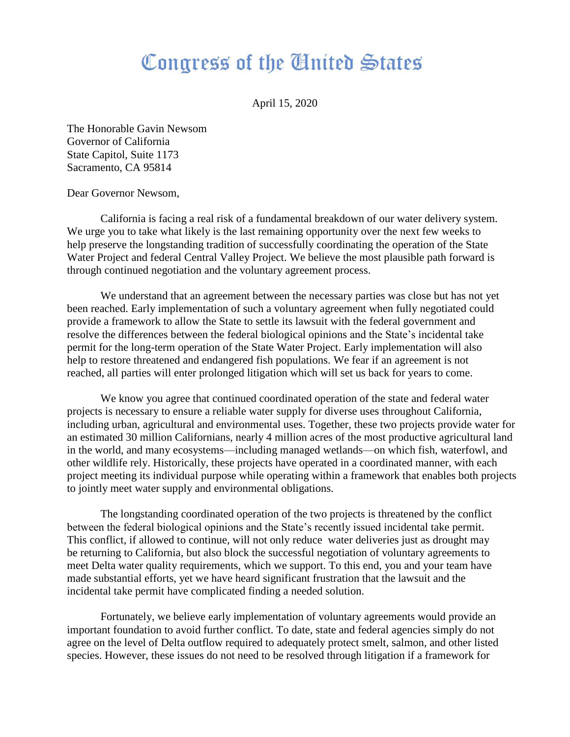## Congress of the Cinited States

April 15, 2020

The Honorable Gavin Newsom Governor of California State Capitol, Suite 1173 Sacramento, CA 95814

Dear Governor Newsom,

California is facing a real risk of a fundamental breakdown of our water delivery system. We urge you to take what likely is the last remaining opportunity over the next few weeks to help preserve the longstanding tradition of successfully coordinating the operation of the State Water Project and federal Central Valley Project. We believe the most plausible path forward is through continued negotiation and the voluntary agreement process.

We understand that an agreement between the necessary parties was close but has not yet been reached. Early implementation of such a voluntary agreement when fully negotiated could provide a framework to allow the State to settle its lawsuit with the federal government and resolve the differences between the federal biological opinions and the State's incidental take permit for the long-term operation of the State Water Project. Early implementation will also help to restore threatened and endangered fish populations. We fear if an agreement is not reached, all parties will enter prolonged litigation which will set us back for years to come.

We know you agree that continued coordinated operation of the state and federal water projects is necessary to ensure a reliable water supply for diverse uses throughout California, including urban, agricultural and environmental uses. Together, these two projects provide water for an estimated 30 million Californians, nearly 4 million acres of the most productive agricultural land in the world, and many ecosystems—including managed wetlands—on which fish, waterfowl, and other wildlife rely. Historically, these projects have operated in a coordinated manner, with each project meeting its individual purpose while operating within a framework that enables both projects to jointly meet water supply and environmental obligations.

The longstanding coordinated operation of the two projects is threatened by the conflict between the federal biological opinions and the State's recently issued incidental take permit. This conflict, if allowed to continue, will not only reduce water deliveries just as drought may be returning to California, but also block the successful negotiation of voluntary agreements to meet Delta water quality requirements, which we support. To this end, you and your team have made substantial efforts, yet we have heard significant frustration that the lawsuit and the incidental take permit have complicated finding a needed solution.

Fortunately, we believe early implementation of voluntary agreements would provide an important foundation to avoid further conflict. To date, state and federal agencies simply do not agree on the level of Delta outflow required to adequately protect smelt, salmon, and other listed species. However, these issues do not need to be resolved through litigation if a framework for